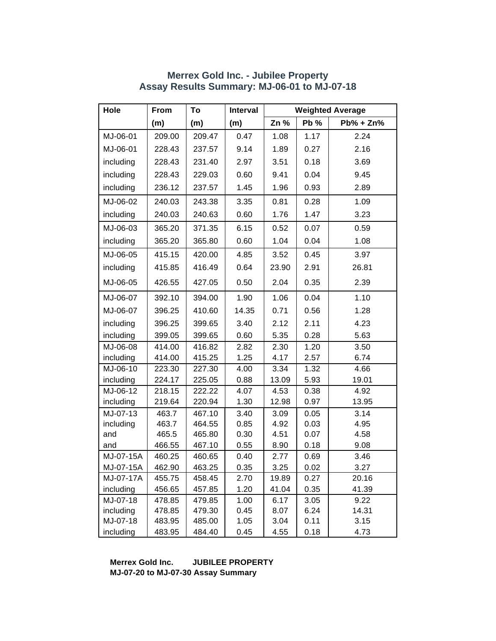| Hole      | From   | To     | Interval | <b>Weighted Average</b> |      |               |  |
|-----------|--------|--------|----------|-------------------------|------|---------------|--|
|           | (m)    | (m)    | (m)      | Zn %                    | Pb % | $Pb\% + Zn\%$ |  |
| MJ-06-01  | 209.00 | 209.47 | 0.47     | 1.08                    | 1.17 | 2.24          |  |
| MJ-06-01  | 228.43 | 237.57 | 9.14     | 1.89                    | 0.27 | 2.16          |  |
| including | 228.43 | 231.40 | 2.97     | 3.51                    | 0.18 | 3.69          |  |
| including | 228.43 | 229.03 | 0.60     | 9.41                    | 0.04 | 9.45          |  |
| including | 236.12 | 237.57 | 1.45     | 1.96                    | 0.93 | 2.89          |  |
| MJ-06-02  | 240.03 | 243.38 | 3.35     | 0.81                    | 0.28 | 1.09          |  |
| including | 240.03 | 240.63 | 0.60     | 1.76                    | 1.47 | 3.23          |  |
| MJ-06-03  | 365.20 | 371.35 | 6.15     | 0.52                    | 0.07 | 0.59          |  |
| including | 365.20 | 365.80 | 0.60     | 1.04                    | 0.04 | 1.08          |  |
| MJ-06-05  | 415.15 | 420.00 | 4.85     | 3.52                    | 0.45 | 3.97          |  |
| including | 415.85 | 416.49 | 0.64     | 23.90                   | 2.91 | 26.81         |  |
| MJ-06-05  | 426.55 | 427.05 | 0.50     | 2.04                    | 0.35 | 2.39          |  |
| MJ-06-07  | 392.10 | 394.00 | 1.90     | 1.06                    | 0.04 | 1.10          |  |
| MJ-06-07  | 396.25 | 410.60 | 14.35    | 0.71                    | 0.56 | 1.28          |  |
| including | 396.25 | 399.65 | 3.40     | 2.12                    | 2.11 | 4.23          |  |
| including | 399.05 | 399.65 | 0.60     | 5.35                    | 0.28 | 5.63          |  |
| MJ-06-08  | 414.00 | 416.82 | 2.82     | 2.30                    | 1.20 | 3.50          |  |
| including | 414.00 | 415.25 | 1.25     | 4.17                    | 2.57 | 6.74          |  |
| MJ-06-10  | 223.30 | 227.30 | 4.00     | 3.34                    | 1.32 | 4.66          |  |
| including | 224.17 | 225.05 | 0.88     | 13.09                   | 5.93 | 19.01         |  |
| MJ-06-12  | 218.15 | 222.22 | 4.07     | 4.53                    | 0.38 | 4.92          |  |
| including | 219.64 | 220.94 | 1.30     | 12.98                   | 0.97 | 13.95         |  |
| MJ-07-13  | 463.7  | 467.10 | 3.40     | 3.09                    | 0.05 | 3.14          |  |
| including | 463.7  | 464.55 | 0.85     | 4.92                    | 0.03 | 4.95          |  |
| and       | 465.5  | 465.80 | 0.30     | 4.51                    | 0.07 | 4.58          |  |
| and       | 466.55 | 467.10 | 0.55     | 8.90                    | 0.18 | 9.08          |  |
| MJ-07-15A | 460.25 | 460.65 | 0.40     | 2.77                    | 0.69 | 3.46          |  |
| MJ-07-15A | 462.90 | 463.25 | 0.35     | 3.25                    | 0.02 | 3.27          |  |
| MJ-07-17A | 455.75 | 458.45 | 2.70     | 19.89                   | 0.27 | 20.16         |  |
| including | 456.65 | 457.85 | 1.20     | 41.04                   | 0.35 | 41.39         |  |
| MJ-07-18  | 478.85 | 479.85 | 1.00     | 6.17                    | 3.05 | 9.22          |  |
| including | 478.85 | 479.30 | 0.45     | 8.07                    | 6.24 | 14.31         |  |
| MJ-07-18  | 483.95 | 485.00 | 1.05     | 3.04                    | 0.11 | 3.15          |  |
| including | 483.95 | 484.40 | 0.45     | 4.55                    | 0.18 | 4.73          |  |

#### **Merrex Gold Inc. - Jubilee Property Assay Results Summary: MJ-06-01 to MJ-07-18**

**Merrex Gold Inc. JUBILEE PROPERTY MJ-07-20 to MJ-07-30 Assay Summary**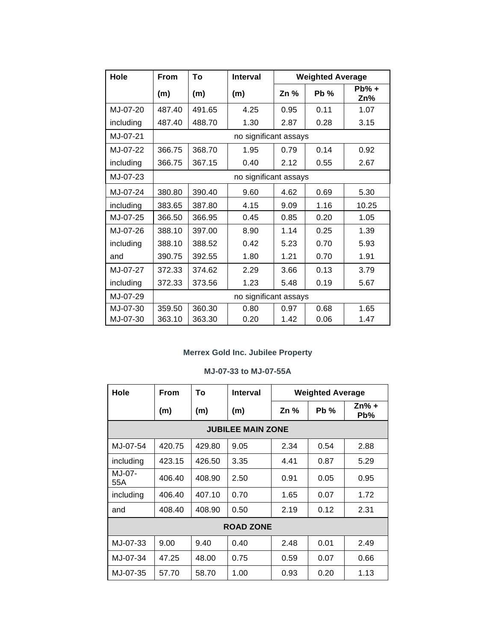| Hole      | From                  | Τo     | Interval              | <b>Weighted Average</b> |        |                 |  |
|-----------|-----------------------|--------|-----------------------|-------------------------|--------|-----------------|--|
|           | (m)                   | (m)    | (m)                   | Zn %                    | $Pb\%$ | $Pb\% +$<br>Zn% |  |
| MJ-07-20  | 487.40                | 491.65 | 4.25                  | 0.95                    | 0.11   | 1.07            |  |
| including | 487.40                | 488.70 | 1.30                  | 2.87                    | 0.28   | 3.15            |  |
| MJ-07-21  |                       |        | no significant assays |                         |        |                 |  |
| MJ-07-22  | 366.75                | 368.70 | 1.95                  | 0.79                    | 0.14   | 0.92            |  |
| including | 366.75                | 367.15 | 0.40                  | 2.12                    | 0.55   | 2.67            |  |
| MJ-07-23  | no significant assays |        |                       |                         |        |                 |  |
| MJ-07-24  | 380.80                | 390.40 | 9.60                  | 4.62                    | 0.69   | 5.30            |  |
| including | 383.65                | 387.80 | 4.15                  | 9.09                    | 1.16   | 10.25           |  |
| MJ-07-25  | 366.50                | 366.95 | 0.45                  | 0.85                    | 0.20   | 1.05            |  |
| MJ-07-26  | 388.10                | 397.00 | 8.90                  | 1.14                    | 0.25   | 1.39            |  |
| including | 388.10                | 388.52 | 0.42                  | 5.23                    | 0.70   | 5.93            |  |
| and       | 390.75                | 392.55 | 1.80                  | 1.21                    | 0.70   | 1.91            |  |
| MJ-07-27  | 372.33                | 374.62 | 2.29                  | 3.66                    | 0.13   | 3.79            |  |
| including | 372.33                | 373.56 | 1.23                  | 5.48                    | 0.19   | 5.67            |  |
| MJ-07-29  |                       |        | no significant assays |                         |        |                 |  |
| MJ-07-30  | 359.50                | 360.30 | 0.80                  | 0.97                    | 0.68   | 1.65            |  |
| MJ-07-30  | 363.10                | 363.30 | 0.20                  | 1.42                    | 0.06   | 1.47            |  |

## **Merrex Gold Inc. Jubilee Property**

## **MJ-07-33 to MJ-07-55A**

| Hole             | <b>From</b>              | To     | Interval | <b>Weighted Average</b> |        |                |  |  |  |
|------------------|--------------------------|--------|----------|-------------------------|--------|----------------|--|--|--|
|                  | (m)                      | (m)    | (m)      | Zn %                    | $Pb\%$ | $Zn% +$<br>Pb% |  |  |  |
|                  | <b>JUBILEE MAIN ZONE</b> |        |          |                         |        |                |  |  |  |
| MJ-07-54         | 420.75                   | 429.80 | 9.05     | 2.34                    | 0.54   | 2.88           |  |  |  |
| including        | 423.15                   | 426.50 | 3.35     | 4.41                    | 0.87   | 5.29           |  |  |  |
| MJ-07-<br>55A    | 406.40                   | 408.90 | 2.50     | 0.91                    | 0.05   | 0.95           |  |  |  |
| including        | 406.40                   | 407.10 | 0.70     | 1.65                    | 0.07   | 1.72           |  |  |  |
| and              | 408.40                   | 408.90 | 0.50     | 2.19                    | 0.12   | 2.31           |  |  |  |
| <b>ROAD ZONE</b> |                          |        |          |                         |        |                |  |  |  |
| MJ-07-33         | 9.00                     | 9.40   | 0.40     | 2.48                    | 0.01   | 2.49           |  |  |  |
| MJ-07-34         | 47.25                    | 48.00  | 0.75     | 0.59                    | 0.07   | 0.66           |  |  |  |
| MJ-07-35         | 57.70                    | 58.70  | 1.00     | 0.93                    | 0.20   | 1.13           |  |  |  |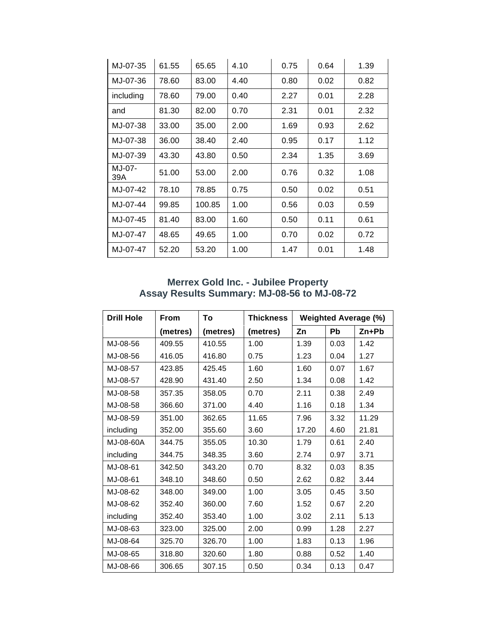| MJ-07-35      | 61.55 | 65.65  | 4.10 | 0.75 | 0.64 | 1.39 |
|---------------|-------|--------|------|------|------|------|
| MJ-07-36      | 78.60 | 83.00  | 4.40 | 0.80 | 0.02 | 0.82 |
| including     | 78.60 | 79.00  | 0.40 | 2.27 | 0.01 | 2.28 |
| and           | 81.30 | 82.00  | 0.70 | 2.31 | 0.01 | 2.32 |
| MJ-07-38      | 33.00 | 35.00  | 2.00 | 1.69 | 0.93 | 2.62 |
| MJ-07-38      | 36.00 | 38.40  | 2.40 | 0.95 | 0.17 | 1.12 |
| MJ-07-39      | 43.30 | 43.80  | 0.50 | 2.34 | 1.35 | 3.69 |
| MJ-07-<br>39A | 51.00 | 53.00  | 2.00 | 0.76 | 0.32 | 1.08 |
| MJ-07-42      | 78.10 | 78.85  | 0.75 | 0.50 | 0.02 | 0.51 |
| MJ-07-44      | 99.85 | 100.85 | 1.00 | 0.56 | 0.03 | 0.59 |
| MJ-07-45      | 81.40 | 83.00  | 1.60 | 0.50 | 0.11 | 0.61 |
| MJ-07-47      | 48.65 | 49.65  | 1.00 | 0.70 | 0.02 | 0.72 |
| MJ-07-47      | 52.20 | 53.20  | 1.00 | 1.47 | 0.01 | 1.48 |

### **Merrex Gold Inc. - Jubilee Property Assay Results Summary: MJ-08-56 to MJ-08-72**

| <b>Drill Hole</b> | <b>From</b> | To       | <b>Thickness</b> | <b>Weighted Average (%)</b> |           |         |
|-------------------|-------------|----------|------------------|-----------------------------|-----------|---------|
|                   | (metres)    | (metres) | (metres)         | Zn                          | <b>Pb</b> | $Zn+Pb$ |
| MJ-08-56          | 409.55      | 410.55   | 1.00             | 1.39                        | 0.03      | 1.42    |
| MJ-08-56          | 416.05      | 416.80   | 0.75             | 1.23                        | 0.04      | 1.27    |
| MJ-08-57          | 423.85      | 425.45   | 1.60             | 1.60                        | 0.07      | 1.67    |
| MJ-08-57          | 428.90      | 431.40   | 2.50             | 1.34                        | 0.08      | 1.42    |
| MJ-08-58          | 357.35      | 358.05   | 0.70             | 2.11                        | 0.38      | 2.49    |
| MJ-08-58          | 366.60      | 371.00   | 4.40             | 1.16                        | 0.18      | 1.34    |
| MJ-08-59          | 351.00      | 362.65   | 11.65            | 7.96                        | 3.32      | 11.29   |
| including         | 352.00      | 355.60   | 3.60             | 17.20                       | 4.60      | 21.81   |
| MJ-08-60A         | 344.75      | 355.05   | 10.30            | 1.79                        | 0.61      | 2.40    |
| including         | 344.75      | 348.35   | 3.60             | 2.74                        | 0.97      | 3.71    |
| MJ-08-61          | 342.50      | 343.20   | 0.70             | 8.32                        | 0.03      | 8.35    |
| MJ-08-61          | 348.10      | 348.60   | 0.50             | 2.62                        | 0.82      | 3.44    |
| MJ-08-62          | 348.00      | 349.00   | 1.00             | 3.05                        | 0.45      | 3.50    |
| MJ-08-62          | 352.40      | 360.00   | 7.60             | 1.52                        | 0.67      | 2.20    |
| including         | 352.40      | 353.40   | 1.00             | 3.02                        | 2.11      | 5.13    |
| MJ-08-63          | 323.00      | 325.00   | 2.00             | 0.99                        | 1.28      | 2.27    |
| MJ-08-64          | 325.70      | 326.70   | 1.00             | 1.83                        | 0.13      | 1.96    |
| MJ-08-65          | 318.80      | 320.60   | 1.80             | 0.88                        | 0.52      | 1.40    |
| MJ-08-66          | 306.65      | 307.15   | 0.50             | 0.34                        | 0.13      | 0.47    |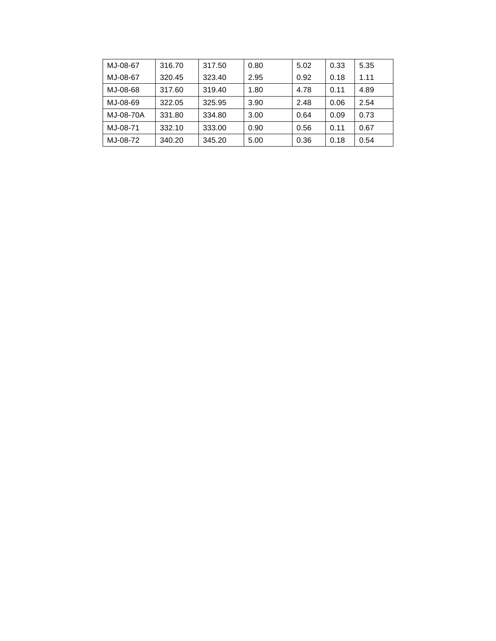| MJ-08-67  | 316.70 | 317.50 | 0.80 | 5.02 | 0.33 | 5.35 |
|-----------|--------|--------|------|------|------|------|
| MJ-08-67  | 320.45 | 323.40 | 2.95 | 0.92 | 0.18 | 1.11 |
| MJ-08-68  | 317.60 | 319.40 | 1.80 | 4.78 | 0.11 | 4.89 |
| MJ-08-69  | 322.05 | 325.95 | 3.90 | 2.48 | 0.06 | 2.54 |
| MJ-08-70A | 331.80 | 334.80 | 3.00 | 0.64 | 0.09 | 0.73 |
| MJ-08-71  | 332.10 | 333.00 | 0.90 | 0.56 | 0.11 | 0.67 |
| MJ-08-72  | 340.20 | 345.20 | 5.00 | 0.36 | 0.18 | 0.54 |